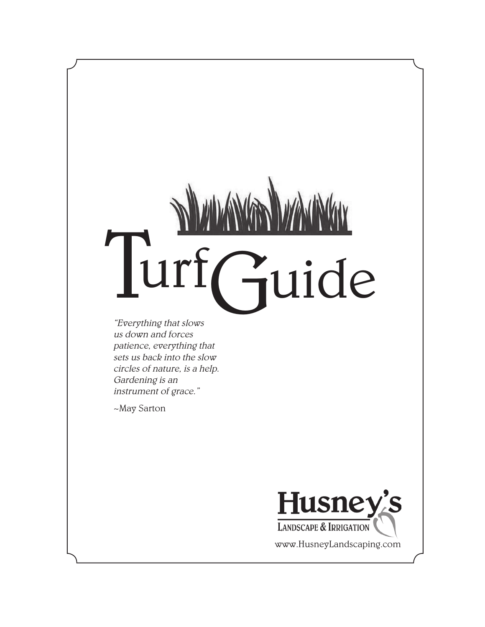# Turf Guide

"Everything that slows us down and forces patience, everything that sets us back into the slow circles of nature, is a help. Gardening is an instrument of grace."

~May Sarton



www.HusneyLandscaping.com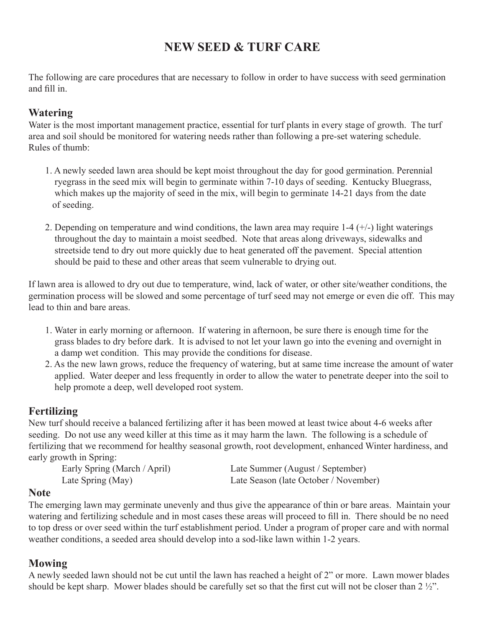# **NEW SEED & TURF CARE**

The following are care procedures that are necessary to follow in order to have success with seed germination and fill in.

### **Watering**

Water is the most important management practice, essential for turf plants in every stage of growth. The turf area and soil should be monitored for watering needs rather than following a pre-set watering schedule. Rules of thumb:

- 1. A newly seeded lawn area should be kept moist throughout the day for good germination. Perennial ryegrass in the seed mix will begin to germinate within 7-10 days of seeding. Kentucky Bluegrass, which makes up the majority of seed in the mix, will begin to germinate 14-21 days from the date of seeding.
- 2. Depending on temperature and wind conditions, the lawn area may require  $1-4$  ( $+/-$ ) light waterings throughout the day to maintain a moist seedbed. Note that areas along driveways, sidewalks and streetside tend to dry out more quickly due to heat generated off the pavement. Special attention should be paid to these and other areas that seem vulnerable to drying out.

If lawn area is allowed to dry out due to temperature, wind, lack of water, or other site/weather conditions, the germination process will be slowed and some percentage of turf seed may not emerge or even die off. This may lead to thin and bare areas.

- 1. Water in early morning or afternoon. If watering in afternoon, be sure there is enough time for the grass blades to dry before dark. It is advised to not let your lawn go into the evening and overnight in a damp wet condition. This may provide the conditions for disease.
- 2. As the new lawn grows, reduce the frequency of watering, but at same time increase the amount of water applied. Water deeper and less frequently in order to allow the water to penetrate deeper into the soil to help promote a deep, well developed root system.

### **Fertilizing**

New turf should receive a balanced fertilizing after it has been mowed at least twice about 4-6 weeks after seeding. Do not use any weed killer at this time as it may harm the lawn. The following is a schedule of fertilizing that we recommend for healthy seasonal growth, root development, enhanced Winter hardiness, and early growth in Spring:<br>Early Spring (March / April)

Late Summer (August / September) Late Spring (May) Late Season (late October / November)

### **Note**

The emerging lawn may germinate unevenly and thus give the appearance of thin or bare areas. Maintain your watering and fertilizing schedule and in most cases these areas will proceed to fill in. There should be no need to top dress or over seed within the turf establishment period. Under a program of proper care and with normal weather conditions, a seeded area should develop into a sod-like lawn within 1-2 years.

### **Mowing**

A newly seeded lawn should not be cut until the lawn has reached a height of 2" or more. Lawn mower blades should be kept sharp. Mower blades should be carefully set so that the first cut will not be closer than 2 ½".